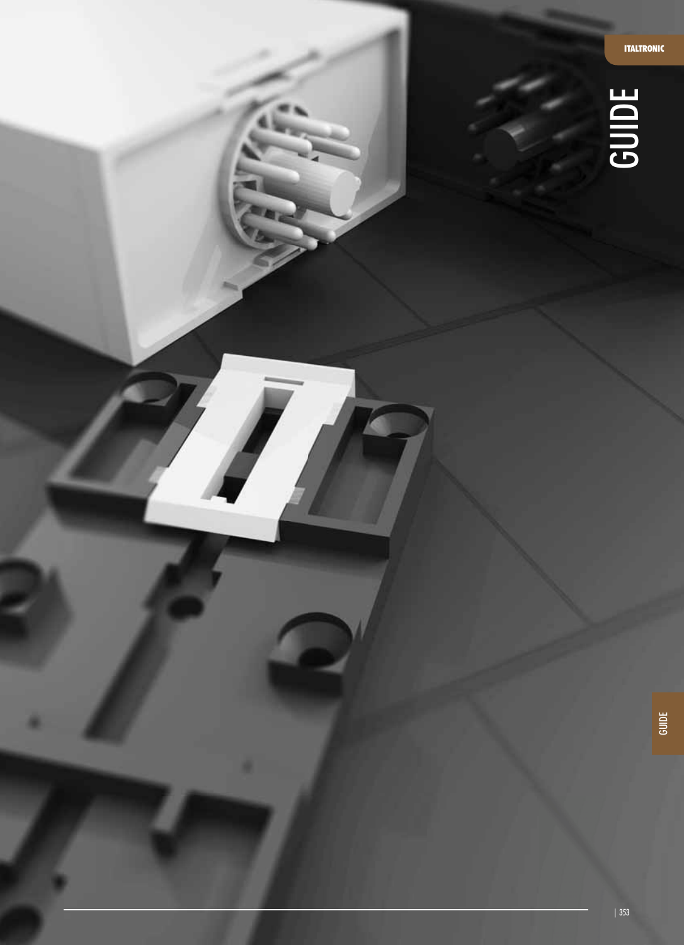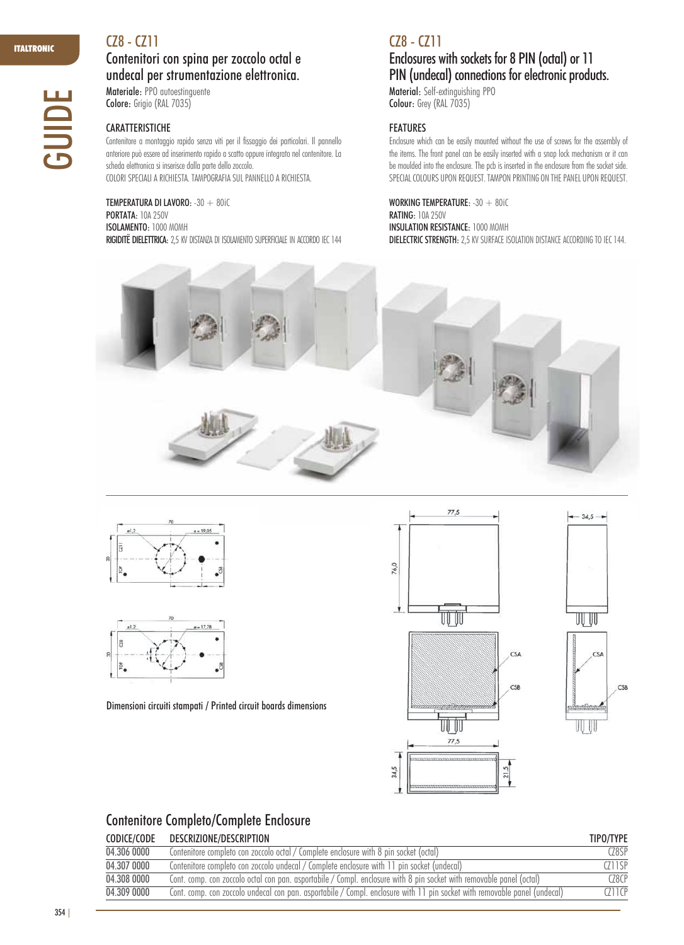GUIDE

## CZ8 - CZ11

## Contenitori con spina per zoccolo octal e undecal per strumentazione elettronica. Materiale: PPO autoestinguente

Colore: Grigio (RAL 7035)

### CARATTERISTICHE

Contenitore a montaggio rapido senza viti per il fissaggio dei particolari. Il pannello anteriore può essere ad inserimento rapido a scatto oppure integrato nel contenitore. La scheda elettronica si inserisce dalla parte dello zoccolo. COLORI SPECIALI A RICHIESTA. TAMPOGRAFIA SUL PANNELLO A RICHIESTA.

TEMPERATURA DI LAVORO: -30 + 80iC **PORTATA: 10A 250V** ISOLAMENTO: 1000 MOMH RIGIDITË DIELETTRICA: 2,5 KV DISTANZA DI ISOLAMENTO SUPERFICIALE IN ACCORDO IEC 144

## CZ8 - CZ11

## Enclosures with sockets for 8 PIN (octal) or 11 PIN (undecal) connections for electronic products. Material: Self-extinguishing PPO

Colour: Grey (RAL 7035)

### FEATURES

Enclosure which can be easily mounted without the use of screws for the assembly of the items. The front panel can be easily inserted with a snap lock mechanism or it can be moulded into the enclosure. The pcb is inserted in the enclosure from the socket side. SPECIAL COLOURS UPON REQUEST. TAMPON PRINTING ON THE PANEL UPON REQUEST.

WORKING TEMPERATURE: -30 + 80iC RATING:10A 250V INSULATION RESISTANCE: 1000 MOMH DIELECTRIC STRENGTH: 2,5 KV SURFACE ISOLATION DISTANCE ACCORDING TO IEC 144.







Dimensioni circuiti stampati / Printed circuit boards dimensions





 $34,5 -$ 

# Contenitore Completo/Complete Enclosure

| CODICE/CODE | DESCRIZIONE/DESCRIPTION                                                                                                   | TIPO/TYPE |
|-------------|---------------------------------------------------------------------------------------------------------------------------|-----------|
| 04.306 0000 | Contenitore completo con zoccolo octal / Complete enclosure with 8 pin socket (octal)                                     | C78SP     |
| 04.307 0000 | Contenitore completo con zoccolo undecal / Complete enclosure with 11 pin socket (undecal)                                | CZ11SP    |
| 04.308 0000 | Cont. comp. con zoccolo octal con pan. asportabile / Compl. enclosure with 8 pin socket with removable panel (octal)      | (78CP     |
| 04.309 0000 | Cont. comp. con zoccolo undecal con pan. asportabile / Compl. enclosure with 11 pin socket with removable panel (undecal) | CZ11CP    |

354 |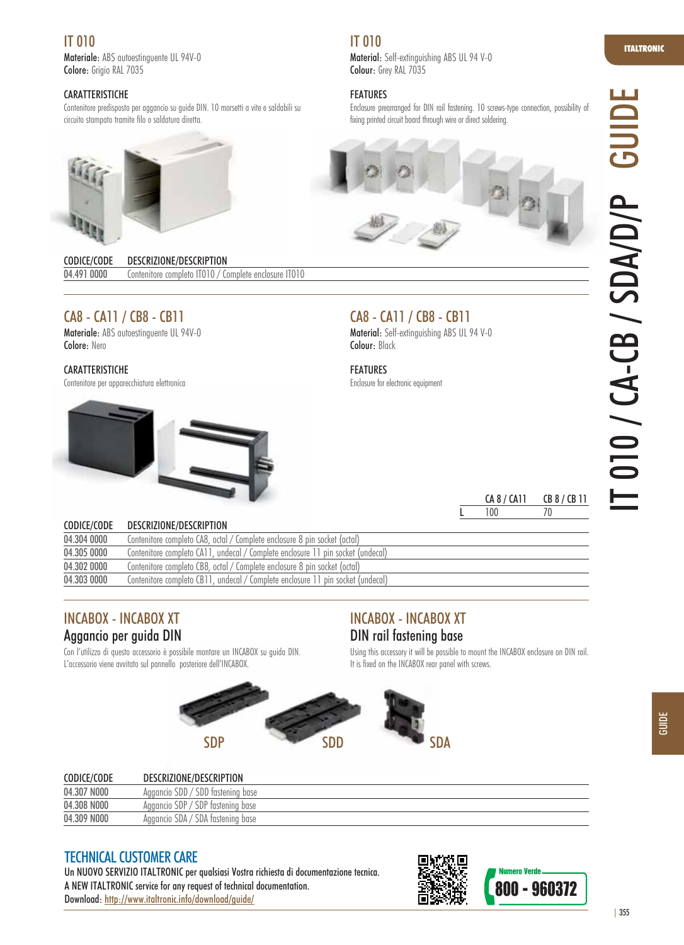# IT 010

Materiale: ABS autoestinguente UL 94V-0 Colore: Grigio RAL 7035

#### **CARATTERISTICHE**

Contenitore predisposto per aggancio su guide DIN. 10 morsetti a vite e saldabili su circuito stampato tramite filo o saldatura diretta.



CODICE/CODE DESCRIZIONE/DESCRIPTION 04.491 0000 Contenitore completo IT010 / Complete enclosure IT010

# CA8 - CA11 / CB8 - CB11

Materiale: ABS autoestinguente UL 94V-0 Colore: Nero

#### **CARATTERISTICHE**

Contenitore per apparecchiatura elettronica



## IT 010

Material: Self-extinguishing ABS UL 94 V-0 Colour: Grey RAL 7035

### FEATURES

Enclosure prearranged for DIN rail fastening. 10 screws-type connection, possibility of fixing printed circuit board through wire or direct soldering.



## CA8 - CA11 / CB8 - CB11

Material: Self-extinguishing ABS UL 94 V-0 Colour: Black

FEATURES

Enclosure for electronic equipment

| CA 8 / CA11 | CB 8 / CB 11 |
|-------------|--------------|
| 100         | 70           |

| CODICE/CODE | DESCRIZIONE/DESCRIPTION                                                         |
|-------------|---------------------------------------------------------------------------------|
| 04.304 0000 | Contenitore completo CA8, octal / Complete enclosure 8 pin socket (octal)       |
| 04.305 0000 | Contenitore completo CA11, undecal / Complete enclosure 11 pin socket (undecal) |
| 04.302 0000 | Contenitore completo CB8, octal / Complete enclosure 8 pin socket (octal)       |
| 04.303 0000 | Contenitore completo CB11, undecal / Complete enclosure 11 pin socket (undecal) |

## INCABOX - INCABOX XT Aggancio per guida DIN

Con l'utilizzo di questo accessorio è possibile montare un INCABOX su guida DIN. L'accessorio viene avvitato sul pannello posteriore dell'INCABOX.



# INCABOX - INCABOX XT DIN rail fastening base

Using this accessory it will be possible to mount the INCABOX enclosure on DIN rail. It is fixed on the INCABOX rear panel with screws.



| CODICE/CODE | DESCRIZIONE/DESCRIPTION           |
|-------------|-----------------------------------|
| 04.307 N000 | Aggancio SDD / SDD fastening base |
| 04.308 N000 | Aggancio SDP / SDP fastening base |
| 04.309 NOOO | Aggancio SDA / SDA fastening base |

## TECHNICAL CUSTOMER CARE

Un NUOVO SERVIZIO ITALTRONIC per qualsiasi Vostra richiesta di documentazione tecnica. A NEW ITALTRONIC service for any request of technical documentation. 23343884456 200 - 960372<br>Download: http://www.italtronic.info/download/guide/